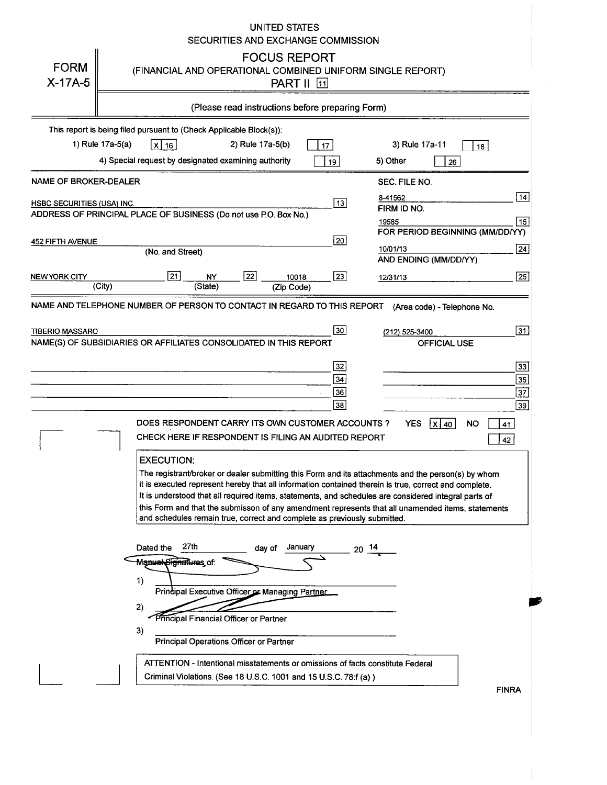#### **UNITED STATES** SECURITIES AND EXCHANGE COMMISSION **FOCUS REPORT FORM** (FINANCIAL AND OPERATIONAL COMBINED UNIFORM SINGLE REPORT)  $X-17A-5$ PART II **FE** (Please read instructions before preparing Form) This report is being filed pursuant to (Check Applicable Block(s)): 1) Rule 17a-5(a) 2) Rule 17a-5(b)  $x 16$  $\boxed{17}$ 3) Rule 17a-11  $\Box$  18 4) Special request by designated examining authority 5) Other  $\sqrt{19}$  $\lceil \cdot \rceil$  26 NAME OF BROKER-DEALER SEC. FILE NO. 8-41562  $\overline{13}$ HSBC SECURITIES (USA) INC.

 $\boxed{14}$ 

| ,,,,,,,,,,,,,,,,,                                                       |                                                                                                       |               |        |                                                 | $\overline{\phantom{a}}$ | FIRM ID NO.                                                                    |                                 |    |                 |
|-------------------------------------------------------------------------|-------------------------------------------------------------------------------------------------------|---------------|--------|-------------------------------------------------|--------------------------|--------------------------------------------------------------------------------|---------------------------------|----|-----------------|
| ADDRESS OF PRINCIPAL PLACE OF BUSINESS (Do not use P.O. Box No.)        |                                                                                                       |               |        |                                                 |                          |                                                                                |                                 |    |                 |
|                                                                         |                                                                                                       |               |        |                                                 |                          | 19585                                                                          | FOR PERIOD BEGINNING (MM/DD/YY) |    | 15              |
| 452 FIFTH AVENUE                                                        |                                                                                                       |               |        |                                                 | $\overline{20}$          |                                                                                |                                 |    |                 |
|                                                                         | (No. and Street)                                                                                      |               |        |                                                 |                          | 10/01/13                                                                       |                                 |    | $\overline{24}$ |
|                                                                         |                                                                                                       |               |        |                                                 |                          |                                                                                | AND ENDING (MM/DD/YY)           |    |                 |
|                                                                         |                                                                                                       |               |        |                                                 |                          |                                                                                |                                 |    |                 |
| NEW YORK CITY<br>(City)                                                 | 21                                                                                                    | NY<br>(State) | 22     | 10018                                           | 23                       | 12/31/13                                                                       |                                 |    | $\sqrt{25}$     |
|                                                                         |                                                                                                       |               |        | (Zip Code)                                      |                          |                                                                                |                                 |    |                 |
| NAME AND TELEPHONE NUMBER OF PERSON TO CONTACT IN REGARD TO THIS REPORT |                                                                                                       |               |        |                                                 |                          |                                                                                | (Area code) - Telephone No.     |    |                 |
|                                                                         |                                                                                                       |               |        |                                                 |                          |                                                                                |                                 |    |                 |
| <b>TIBERIO MASSARO</b>                                                  |                                                                                                       |               |        |                                                 | 30                       |                                                                                |                                 |    | 31              |
|                                                                         |                                                                                                       |               |        |                                                 |                          | (212) 525-3400                                                                 |                                 |    |                 |
| NAME(S) OF SUBSIDIARIES OR AFFILIATES CONSOLIDATED IN THIS REPORT       |                                                                                                       |               |        |                                                 |                          |                                                                                | <b>OFFICIAL USE</b>             |    |                 |
|                                                                         |                                                                                                       |               |        |                                                 |                          |                                                                                |                                 |    |                 |
|                                                                         |                                                                                                       |               |        |                                                 | 32                       |                                                                                |                                 |    | 33              |
|                                                                         |                                                                                                       |               |        |                                                 | 34                       |                                                                                |                                 |    | 35 <sub>5</sub> |
|                                                                         |                                                                                                       |               |        |                                                 | 36                       |                                                                                |                                 |    | 37              |
|                                                                         |                                                                                                       |               |        |                                                 | 38                       |                                                                                |                                 |    | 39              |
|                                                                         |                                                                                                       |               |        |                                                 |                          |                                                                                |                                 |    |                 |
|                                                                         | DOES RESPONDENT CARRY ITS OWN CUSTOMER ACCOUNTS?                                                      |               |        |                                                 |                          | <b>YES</b>                                                                     | X   40                          | NO | 41              |
|                                                                         | CHECK HERE IF RESPONDENT IS FILING AN AUDITED REPORT                                                  |               |        |                                                 |                          |                                                                                |                                 |    | 42              |
|                                                                         |                                                                                                       |               |        |                                                 |                          |                                                                                |                                 |    |                 |
|                                                                         | <b>EXECUTION:</b>                                                                                     |               |        |                                                 |                          |                                                                                |                                 |    |                 |
|                                                                         | The registrant/broker or dealer submitting this Form and its attachments and the person(s) by whom    |               |        |                                                 |                          |                                                                                |                                 |    |                 |
|                                                                         | it is executed represent hereby that all information contained therein is true, correct and complete. |               |        |                                                 |                          |                                                                                |                                 |    |                 |
|                                                                         | It is understood that all required items, statements, and schedules are considered integral parts of  |               |        |                                                 |                          |                                                                                |                                 |    |                 |
|                                                                         | this Form and that the submisson of any amendment represents that all unamended items, statements     |               |        |                                                 |                          |                                                                                |                                 |    |                 |
|                                                                         | and schedules remain true, correct and complete as previously submitted.                              |               |        |                                                 |                          |                                                                                |                                 |    |                 |
|                                                                         |                                                                                                       |               |        |                                                 |                          |                                                                                |                                 |    |                 |
|                                                                         |                                                                                                       |               |        |                                                 |                          |                                                                                |                                 |    |                 |
|                                                                         | 27th<br>Dated the                                                                                     |               | day of | January                                         | 20                       |                                                                                |                                 |    |                 |
|                                                                         | <del>Signatures</del> of:<br><del>Manua</del> l                                                       |               |        |                                                 |                          |                                                                                |                                 |    |                 |
|                                                                         |                                                                                                       |               |        |                                                 |                          |                                                                                |                                 |    |                 |
|                                                                         | 1)                                                                                                    |               |        |                                                 |                          |                                                                                |                                 |    |                 |
|                                                                         |                                                                                                       |               |        | Principal Executive Officer or Managing Partner |                          |                                                                                |                                 |    |                 |
|                                                                         | 2)                                                                                                    |               |        |                                                 |                          |                                                                                |                                 |    |                 |
|                                                                         | Principal Financial Officer or Partner                                                                |               |        |                                                 |                          |                                                                                |                                 |    |                 |
|                                                                         |                                                                                                       |               |        |                                                 |                          |                                                                                |                                 |    |                 |
|                                                                         | 3)                                                                                                    |               |        |                                                 |                          |                                                                                |                                 |    |                 |
|                                                                         | Principal Operations Officer or Partner                                                               |               |        |                                                 |                          |                                                                                |                                 |    |                 |
|                                                                         |                                                                                                       |               |        |                                                 |                          |                                                                                |                                 |    |                 |
|                                                                         |                                                                                                       |               |        |                                                 |                          | ATTENTION - Intentional misstatements or omissions of facts constitute Federal |                                 |    |                 |
|                                                                         | Criminal Violations. (See 18 U.S.C. 1001 and 15 U.S.C. 78:f (a))                                      |               |        |                                                 |                          |                                                                                |                                 |    |                 |
|                                                                         |                                                                                                       |               |        |                                                 |                          |                                                                                |                                 |    | <b>FINRA</b>    |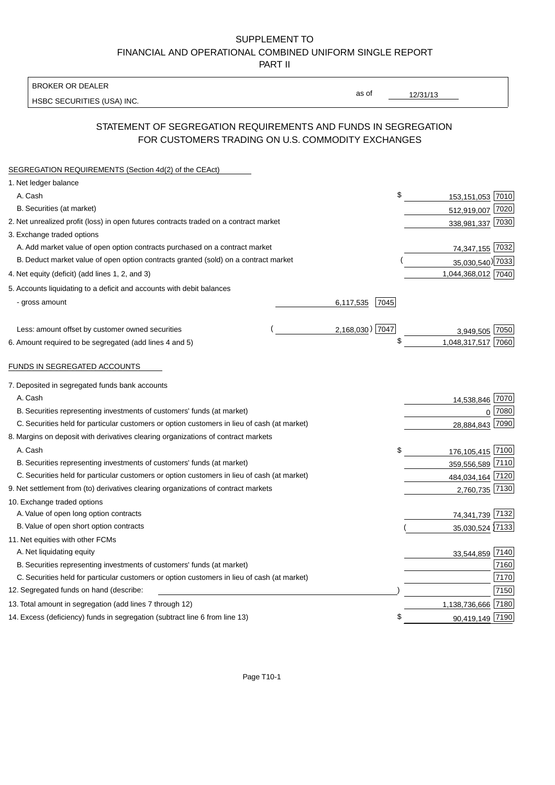### SUPPLEMENT TO FINANCIAL AND OPERATIONAL COMBINED UNIFORM SINGLE REPORT PART II

BROKER OR DEALER

HSBC SECURITIES (USA) INC.

12/31/13

as of

## STATEMENT OF SEGREGATION REQUIREMENTS AND FUNDS IN SEGREGATION FOR CUSTOMERS TRADING ON U.S. COMMODITY EXCHANGES

| 1. Net ledger balance<br>\$<br>A. Cash<br>153,151,053 7010<br>B. Securities (at market)<br>512,919,007<br>7020<br>338,981,337 7030<br>74,347,155 7032<br>A. Add market value of open option contracts purchased on a contract market<br>B. Deduct market value of open option contracts granted (sold) on a contract market<br>35,030,540) 7033<br>1,044,368,012 7040<br>5. Accounts liquidating to a deficit and accounts with debit balances<br>- gross amount<br>6,117,535<br>7045<br>2,168,030) 7047<br>Less: amount offset by customer owned securities<br>3,949,505 7050<br>\$<br>1,048,317,517 7060<br>FUNDS IN SEGREGATED ACCOUNTS<br>A. Cash<br>14,538,846 7070<br>0 7080<br>B. Securities representing investments of customers' funds (at market)<br>28,884,843 7090<br>C. Securities held for particular customers or option customers in lieu of cash (at market)<br>A. Cash<br>176,105,415 7100<br>\$<br>B. Securities representing investments of customers' funds (at market)<br>359,556,589<br>7110<br>C. Securities held for particular customers or option customers in lieu of cash (at market)<br>484,034,164<br>7120<br>7130<br>2,760,735<br>10. Exchange traded options<br>A. Value of open long option contracts<br>7132<br>74,341,739<br>B. Value of open short option contracts<br>35,030,524 7133<br>A. Net liquidating equity<br>7140<br>33,544,859<br>7160<br>B. Securities representing investments of customers' funds (at market)<br>7170<br>C. Securities held for particular customers or option customers in lieu of cash (at market)<br>7150<br>7180<br>13. Total amount in segregation (add lines 7 through 12)<br>1,138,736,666<br>S<br>90,419,149 7190<br>14. Excess (deficiency) funds in segregation (subtract line 6 from line 13) | SEGREGATION REQUIREMENTS (Section 4d(2) of the CEAct)                                 |  |
|------------------------------------------------------------------------------------------------------------------------------------------------------------------------------------------------------------------------------------------------------------------------------------------------------------------------------------------------------------------------------------------------------------------------------------------------------------------------------------------------------------------------------------------------------------------------------------------------------------------------------------------------------------------------------------------------------------------------------------------------------------------------------------------------------------------------------------------------------------------------------------------------------------------------------------------------------------------------------------------------------------------------------------------------------------------------------------------------------------------------------------------------------------------------------------------------------------------------------------------------------------------------------------------------------------------------------------------------------------------------------------------------------------------------------------------------------------------------------------------------------------------------------------------------------------------------------------------------------------------------------------------------------------------------------------------------------------------------------------------------------------------------------|---------------------------------------------------------------------------------------|--|
|                                                                                                                                                                                                                                                                                                                                                                                                                                                                                                                                                                                                                                                                                                                                                                                                                                                                                                                                                                                                                                                                                                                                                                                                                                                                                                                                                                                                                                                                                                                                                                                                                                                                                                                                                                              |                                                                                       |  |
|                                                                                                                                                                                                                                                                                                                                                                                                                                                                                                                                                                                                                                                                                                                                                                                                                                                                                                                                                                                                                                                                                                                                                                                                                                                                                                                                                                                                                                                                                                                                                                                                                                                                                                                                                                              |                                                                                       |  |
|                                                                                                                                                                                                                                                                                                                                                                                                                                                                                                                                                                                                                                                                                                                                                                                                                                                                                                                                                                                                                                                                                                                                                                                                                                                                                                                                                                                                                                                                                                                                                                                                                                                                                                                                                                              |                                                                                       |  |
|                                                                                                                                                                                                                                                                                                                                                                                                                                                                                                                                                                                                                                                                                                                                                                                                                                                                                                                                                                                                                                                                                                                                                                                                                                                                                                                                                                                                                                                                                                                                                                                                                                                                                                                                                                              | 2. Net unrealized profit (loss) in open futures contracts traded on a contract market |  |
|                                                                                                                                                                                                                                                                                                                                                                                                                                                                                                                                                                                                                                                                                                                                                                                                                                                                                                                                                                                                                                                                                                                                                                                                                                                                                                                                                                                                                                                                                                                                                                                                                                                                                                                                                                              | 3. Exchange traded options                                                            |  |
|                                                                                                                                                                                                                                                                                                                                                                                                                                                                                                                                                                                                                                                                                                                                                                                                                                                                                                                                                                                                                                                                                                                                                                                                                                                                                                                                                                                                                                                                                                                                                                                                                                                                                                                                                                              |                                                                                       |  |
|                                                                                                                                                                                                                                                                                                                                                                                                                                                                                                                                                                                                                                                                                                                                                                                                                                                                                                                                                                                                                                                                                                                                                                                                                                                                                                                                                                                                                                                                                                                                                                                                                                                                                                                                                                              |                                                                                       |  |
|                                                                                                                                                                                                                                                                                                                                                                                                                                                                                                                                                                                                                                                                                                                                                                                                                                                                                                                                                                                                                                                                                                                                                                                                                                                                                                                                                                                                                                                                                                                                                                                                                                                                                                                                                                              | 4. Net equity (deficit) (add lines 1, 2, and 3)                                       |  |
|                                                                                                                                                                                                                                                                                                                                                                                                                                                                                                                                                                                                                                                                                                                                                                                                                                                                                                                                                                                                                                                                                                                                                                                                                                                                                                                                                                                                                                                                                                                                                                                                                                                                                                                                                                              |                                                                                       |  |
|                                                                                                                                                                                                                                                                                                                                                                                                                                                                                                                                                                                                                                                                                                                                                                                                                                                                                                                                                                                                                                                                                                                                                                                                                                                                                                                                                                                                                                                                                                                                                                                                                                                                                                                                                                              |                                                                                       |  |
|                                                                                                                                                                                                                                                                                                                                                                                                                                                                                                                                                                                                                                                                                                                                                                                                                                                                                                                                                                                                                                                                                                                                                                                                                                                                                                                                                                                                                                                                                                                                                                                                                                                                                                                                                                              |                                                                                       |  |
|                                                                                                                                                                                                                                                                                                                                                                                                                                                                                                                                                                                                                                                                                                                                                                                                                                                                                                                                                                                                                                                                                                                                                                                                                                                                                                                                                                                                                                                                                                                                                                                                                                                                                                                                                                              |                                                                                       |  |
|                                                                                                                                                                                                                                                                                                                                                                                                                                                                                                                                                                                                                                                                                                                                                                                                                                                                                                                                                                                                                                                                                                                                                                                                                                                                                                                                                                                                                                                                                                                                                                                                                                                                                                                                                                              | 6. Amount required to be segregated (add lines 4 and 5)                               |  |
|                                                                                                                                                                                                                                                                                                                                                                                                                                                                                                                                                                                                                                                                                                                                                                                                                                                                                                                                                                                                                                                                                                                                                                                                                                                                                                                                                                                                                                                                                                                                                                                                                                                                                                                                                                              |                                                                                       |  |
|                                                                                                                                                                                                                                                                                                                                                                                                                                                                                                                                                                                                                                                                                                                                                                                                                                                                                                                                                                                                                                                                                                                                                                                                                                                                                                                                                                                                                                                                                                                                                                                                                                                                                                                                                                              |                                                                                       |  |
|                                                                                                                                                                                                                                                                                                                                                                                                                                                                                                                                                                                                                                                                                                                                                                                                                                                                                                                                                                                                                                                                                                                                                                                                                                                                                                                                                                                                                                                                                                                                                                                                                                                                                                                                                                              | 7. Deposited in segregated funds bank accounts                                        |  |
|                                                                                                                                                                                                                                                                                                                                                                                                                                                                                                                                                                                                                                                                                                                                                                                                                                                                                                                                                                                                                                                                                                                                                                                                                                                                                                                                                                                                                                                                                                                                                                                                                                                                                                                                                                              |                                                                                       |  |
|                                                                                                                                                                                                                                                                                                                                                                                                                                                                                                                                                                                                                                                                                                                                                                                                                                                                                                                                                                                                                                                                                                                                                                                                                                                                                                                                                                                                                                                                                                                                                                                                                                                                                                                                                                              |                                                                                       |  |
|                                                                                                                                                                                                                                                                                                                                                                                                                                                                                                                                                                                                                                                                                                                                                                                                                                                                                                                                                                                                                                                                                                                                                                                                                                                                                                                                                                                                                                                                                                                                                                                                                                                                                                                                                                              |                                                                                       |  |
|                                                                                                                                                                                                                                                                                                                                                                                                                                                                                                                                                                                                                                                                                                                                                                                                                                                                                                                                                                                                                                                                                                                                                                                                                                                                                                                                                                                                                                                                                                                                                                                                                                                                                                                                                                              | 8. Margins on deposit with derivatives clearing organizations of contract markets     |  |
|                                                                                                                                                                                                                                                                                                                                                                                                                                                                                                                                                                                                                                                                                                                                                                                                                                                                                                                                                                                                                                                                                                                                                                                                                                                                                                                                                                                                                                                                                                                                                                                                                                                                                                                                                                              |                                                                                       |  |
|                                                                                                                                                                                                                                                                                                                                                                                                                                                                                                                                                                                                                                                                                                                                                                                                                                                                                                                                                                                                                                                                                                                                                                                                                                                                                                                                                                                                                                                                                                                                                                                                                                                                                                                                                                              |                                                                                       |  |
|                                                                                                                                                                                                                                                                                                                                                                                                                                                                                                                                                                                                                                                                                                                                                                                                                                                                                                                                                                                                                                                                                                                                                                                                                                                                                                                                                                                                                                                                                                                                                                                                                                                                                                                                                                              |                                                                                       |  |
|                                                                                                                                                                                                                                                                                                                                                                                                                                                                                                                                                                                                                                                                                                                                                                                                                                                                                                                                                                                                                                                                                                                                                                                                                                                                                                                                                                                                                                                                                                                                                                                                                                                                                                                                                                              | 9. Net settlement from (to) derivatives clearing organizations of contract markets    |  |
|                                                                                                                                                                                                                                                                                                                                                                                                                                                                                                                                                                                                                                                                                                                                                                                                                                                                                                                                                                                                                                                                                                                                                                                                                                                                                                                                                                                                                                                                                                                                                                                                                                                                                                                                                                              |                                                                                       |  |
|                                                                                                                                                                                                                                                                                                                                                                                                                                                                                                                                                                                                                                                                                                                                                                                                                                                                                                                                                                                                                                                                                                                                                                                                                                                                                                                                                                                                                                                                                                                                                                                                                                                                                                                                                                              |                                                                                       |  |
|                                                                                                                                                                                                                                                                                                                                                                                                                                                                                                                                                                                                                                                                                                                                                                                                                                                                                                                                                                                                                                                                                                                                                                                                                                                                                                                                                                                                                                                                                                                                                                                                                                                                                                                                                                              |                                                                                       |  |
|                                                                                                                                                                                                                                                                                                                                                                                                                                                                                                                                                                                                                                                                                                                                                                                                                                                                                                                                                                                                                                                                                                                                                                                                                                                                                                                                                                                                                                                                                                                                                                                                                                                                                                                                                                              | 11. Net equities with other FCMs                                                      |  |
|                                                                                                                                                                                                                                                                                                                                                                                                                                                                                                                                                                                                                                                                                                                                                                                                                                                                                                                                                                                                                                                                                                                                                                                                                                                                                                                                                                                                                                                                                                                                                                                                                                                                                                                                                                              |                                                                                       |  |
|                                                                                                                                                                                                                                                                                                                                                                                                                                                                                                                                                                                                                                                                                                                                                                                                                                                                                                                                                                                                                                                                                                                                                                                                                                                                                                                                                                                                                                                                                                                                                                                                                                                                                                                                                                              |                                                                                       |  |
|                                                                                                                                                                                                                                                                                                                                                                                                                                                                                                                                                                                                                                                                                                                                                                                                                                                                                                                                                                                                                                                                                                                                                                                                                                                                                                                                                                                                                                                                                                                                                                                                                                                                                                                                                                              |                                                                                       |  |
|                                                                                                                                                                                                                                                                                                                                                                                                                                                                                                                                                                                                                                                                                                                                                                                                                                                                                                                                                                                                                                                                                                                                                                                                                                                                                                                                                                                                                                                                                                                                                                                                                                                                                                                                                                              | 12. Segregated funds on hand (describe:                                               |  |
|                                                                                                                                                                                                                                                                                                                                                                                                                                                                                                                                                                                                                                                                                                                                                                                                                                                                                                                                                                                                                                                                                                                                                                                                                                                                                                                                                                                                                                                                                                                                                                                                                                                                                                                                                                              |                                                                                       |  |
|                                                                                                                                                                                                                                                                                                                                                                                                                                                                                                                                                                                                                                                                                                                                                                                                                                                                                                                                                                                                                                                                                                                                                                                                                                                                                                                                                                                                                                                                                                                                                                                                                                                                                                                                                                              |                                                                                       |  |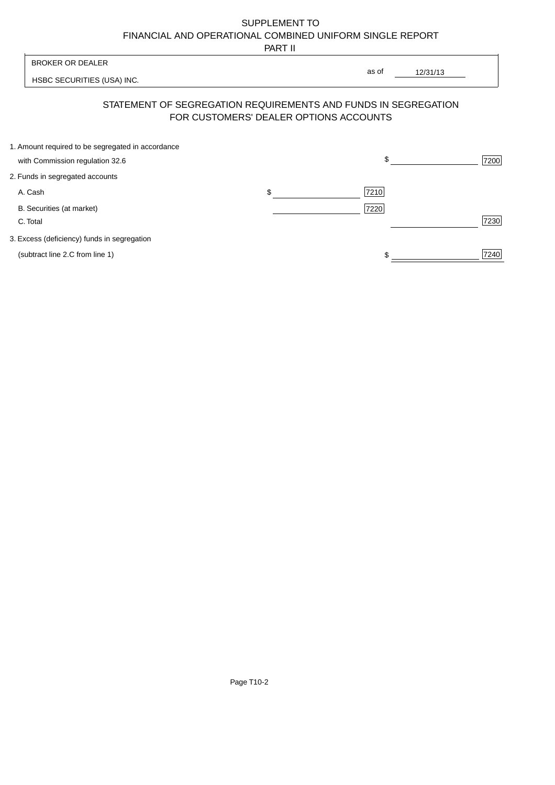# SUPPLEMENT TO FINANCIAL AND OPERATIONAL COMBINED UNIFORM SINGLE REPORT

PART II

| <b>BROKER OR DEALER</b>                           |                                        | as of                                                          |      |
|---------------------------------------------------|----------------------------------------|----------------------------------------------------------------|------|
| HSBC SECURITIES (USA) INC.                        |                                        | 12/31/13                                                       |      |
|                                                   | FOR CUSTOMERS' DEALER OPTIONS ACCOUNTS | STATEMENT OF SEGREGATION REQUIREMENTS AND FUNDS IN SEGREGATION |      |
| 1. Amount required to be segregated in accordance |                                        |                                                                |      |
| with Commission regulation 32.6                   |                                        | \$                                                             | 7200 |
| 2. Funds in segregated accounts                   |                                        |                                                                |      |
| A. Cash                                           | \$                                     | 7210                                                           |      |
| B. Securities (at market)                         |                                        | 7220                                                           |      |
| C. Total                                          |                                        |                                                                | 7230 |
| 3. Excess (deficiency) funds in segregation       |                                        |                                                                |      |

(subtract line 2.C from line 1)  $\frac{1}{240}$  $\frac{1}{1}$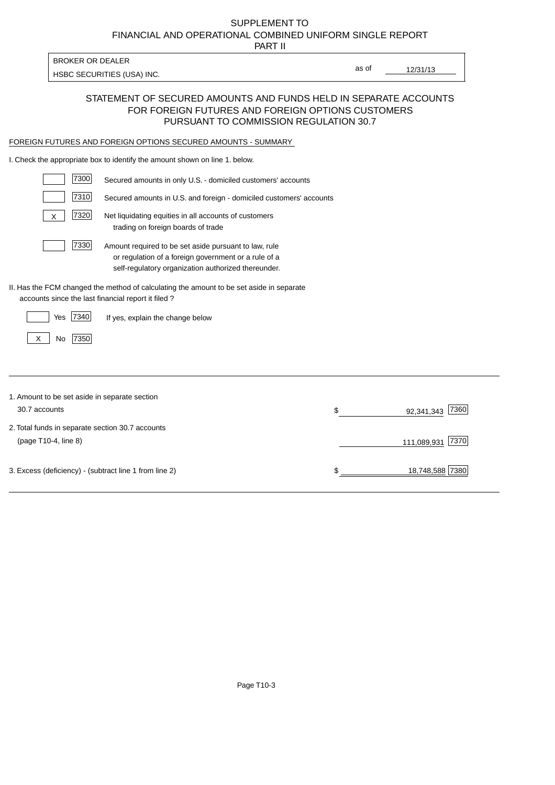# FINANCIAL AND OPERATIONAL COMBINED UNIFORM SINGLE REPORT SUPPLEMENT TO

PART II

HSBC SECURITIES (USA) INC.

BROKER OR DEALER

12/31/13 as of

#### STATEMENT OF SECURED AMOUNTS AND FUNDS HELD IN SEPARATE ACCOUNTS FOR FOREIGN FUTURES AND FOREIGN OPTIONS CUSTOMERS PURSUANT TO COMMISSION REGULATION 30.7

#### FOREIGN FUTURES AND FOREIGN OPTIONS SECURED AMOUNTS - SUMMARY

I. Check the appropriate box to identify the amount shown on line 1. below.

| 7300                                                   | Secured amounts in only U.S. - domiciled customers' accounts                                                                                                         |                          |
|--------------------------------------------------------|----------------------------------------------------------------------------------------------------------------------------------------------------------------------|--------------------------|
| 7310                                                   | Secured amounts in U.S. and foreign - domiciled customers' accounts                                                                                                  |                          |
| 7320<br>X                                              | Net liquidating equities in all accounts of customers<br>trading on foreign boards of trade                                                                          |                          |
| 7330                                                   | Amount required to be set aside pursuant to law, rule<br>or regulation of a foreign government or a rule of a<br>self-regulatory organization authorized thereunder. |                          |
| accounts since the last financial report it filed?     | II. Has the FCM changed the method of calculating the amount to be set aside in separate                                                                             |                          |
| 7340<br>Yes                                            | If yes, explain the change below                                                                                                                                     |                          |
| 7350<br>No<br>X                                        |                                                                                                                                                                      |                          |
|                                                        |                                                                                                                                                                      |                          |
| 1. Amount to be set aside in separate section          |                                                                                                                                                                      |                          |
| 30.7 accounts                                          |                                                                                                                                                                      | \$<br>7360<br>92,341,343 |
| 2. Total funds in separate section 30.7 accounts       |                                                                                                                                                                      |                          |
| (page T10-4, line 8)                                   |                                                                                                                                                                      | 7370<br>111,089,931      |
| 3. Excess (deficiency) - (subtract line 1 from line 2) |                                                                                                                                                                      | 18,748,588 7380          |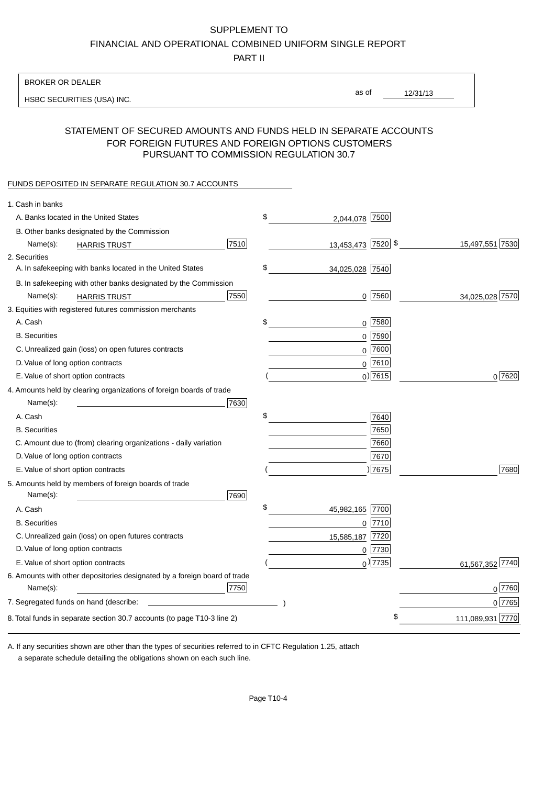#### SUPPLEMENT TO

FINANCIAL AND OPERATIONAL COMBINED UNIFORM SINGLE REPORT

PART II

#### BROKER OR DEALER

HSBC SECURITIES (USA) INC.

12/31/13 as of

#### STATEMENT OF SECURED AMOUNTS AND FUNDS HELD IN SEPARATE ACCOUNTS FOR FOREIGN FUTURES AND FOREIGN OPTIONS CUSTOMERS PURSUANT TO COMMISSION REGULATION 30.7

#### FUNDS DEPOSITED IN SEPARATE REGULATION 30.7 ACCOUNTS

| 1. Cash in banks                                                                              |                       |                  |
|-----------------------------------------------------------------------------------------------|-----------------------|------------------|
| A. Banks located in the United States                                                         | \$<br>2,044,078 7500  |                  |
| B. Other banks designated by the Commission                                                   |                       |                  |
| 7510<br>Name(s):<br><b>HARRIS TRUST</b>                                                       | 13,453,473 7520 \$    | 15,497,551 7530  |
| 2. Securities                                                                                 |                       |                  |
| A. In safekeeping with banks located in the United States                                     | \$<br>34,025,028 7540 |                  |
| B. In safekeeping with other banks designated by the Commission                               |                       |                  |
| 7550<br>Name(s):<br><b>HARRIS TRUST</b>                                                       | $0$ 7560              | 34,025,028 7570  |
| 3. Equities with registered futures commission merchants                                      |                       |                  |
| A. Cash                                                                                       | \$<br>$0$ 7580        |                  |
| <b>B.</b> Securities                                                                          | $0$ 7590              |                  |
| C. Unrealized gain (loss) on open futures contracts                                           | $0$ 7600              |                  |
| D. Value of long option contracts                                                             | $0$ 7610              |                  |
| E. Value of short option contracts                                                            | $0$ ) 7615            | 0 7620           |
| 4. Amounts held by clearing organizations of foreign boards of trade                          |                       |                  |
| Name(s):<br>7630                                                                              |                       |                  |
| A. Cash                                                                                       | \$<br>7640            |                  |
| <b>B.</b> Securities                                                                          | 7650                  |                  |
| C. Amount due to (from) clearing organizations - daily variation                              | 7660                  |                  |
| D. Value of long option contracts                                                             | 7670                  |                  |
| E. Value of short option contracts                                                            | 7675                  | 7680             |
| 5. Amounts held by members of foreign boards of trade<br>Name(s):<br>7690                     |                       |                  |
| A. Cash                                                                                       | \$<br>45,982,165 7700 |                  |
| <b>B.</b> Securities                                                                          | $0$ 7710              |                  |
| C. Unrealized gain (loss) on open futures contracts                                           | 15,585,187 7720       |                  |
| D. Value of long option contracts                                                             | $0$  7730             |                  |
| E. Value of short option contracts                                                            | $_0$ ) 7735           | 61,567,352 7740  |
| 6. Amounts with other depositories designated by a foreign board of trade<br>7750<br>Name(s): |                       | 0 7760           |
|                                                                                               |                       | 0 7765           |
|                                                                                               | \$                    |                  |
| 8. Total funds in separate section 30.7 accounts (to page T10-3 line 2)                       |                       | 111,089,931 7770 |

a separate schedule detailing the obligations shown on each such line. A. If any securities shown are other than the types of securities referred to in CFTC Regulation 1.25, attach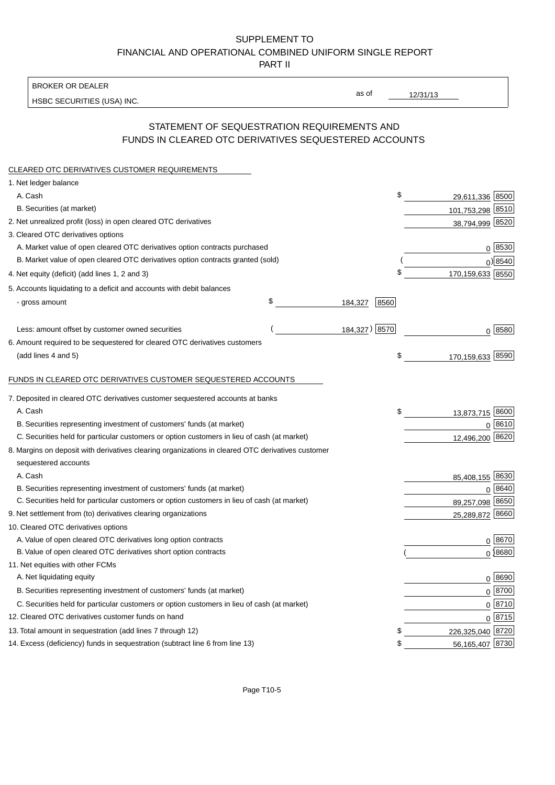### SUPPLEMENT TO FINANCIAL AND OPERATIONAL COMBINED UNIFORM SINGLE REPORT PART II

BROKER OR DEALER

HSBC SECURITIES (USA) INC.

12/31/13

as of

### STATEMENT OF SEQUESTRATION REQUIREMENTS AND FUNDS IN CLEARED OTC DERIVATIVES SEQUESTERED ACCOUNTS

| CLEARED OTC DERIVATIVES CUSTOMER REQUIREMENTS                                                     |               |      |                    |  |
|---------------------------------------------------------------------------------------------------|---------------|------|--------------------|--|
| 1. Net ledger balance                                                                             |               |      |                    |  |
| A. Cash                                                                                           |               | \$   | 29,611,336 8500    |  |
| B. Securities (at market)                                                                         |               |      | 101,753,298 8510   |  |
| 2. Net unrealized profit (loss) in open cleared OTC derivatives                                   |               |      | 38,794,999 8520    |  |
| 3. Cleared OTC derivatives options                                                                |               |      |                    |  |
| A. Market value of open cleared OTC derivatives option contracts purchased                        |               |      | 0   8530           |  |
| B. Market value of open cleared OTC derivatives option contracts granted (sold)                   |               |      | 0 8540             |  |
| 4. Net equity (deficit) (add lines 1, 2 and 3)                                                    |               | \$   | 170,159,633 8550   |  |
| 5. Accounts liquidating to a deficit and accounts with debit balances                             |               |      |                    |  |
| - gross amount                                                                                    | \$<br>184,327 | 8560 |                    |  |
| Less: amount offset by customer owned securities                                                  | 184,327)      | 8570 | 0   8580           |  |
| 6. Amount required to be sequestered for cleared OTC derivatives customers                        |               |      |                    |  |
| (add lines 4 and 5)                                                                               |               | \$   | 170,159,633 8590   |  |
| FUNDS IN CLEARED OTC DERIVATIVES CUSTOMER SEQUESTERED ACCOUNTS                                    |               |      |                    |  |
| 7. Deposited in cleared OTC derivatives customer sequestered accounts at banks                    |               |      |                    |  |
| A. Cash                                                                                           |               | \$   | 13,873,715 8600    |  |
| B. Securities representing investment of customers' funds (at market)                             |               |      | 8610<br>0          |  |
| C. Securities held for particular customers or option customers in lieu of cash (at market)       |               |      | 12,496,200 8620    |  |
| 8. Margins on deposit with derivatives clearing organizations in cleared OTC derivatives customer |               |      |                    |  |
| sequestered accounts                                                                              |               |      |                    |  |
| A. Cash                                                                                           |               |      | 85,408,155 8630    |  |
| B. Securities representing investment of customers' funds (at market)                             |               |      | 8640<br>0          |  |
| C. Securities held for particular customers or option customers in lieu of cash (at market)       |               |      | 89,257,098 8650    |  |
| 9. Net settlement from (to) derivatives clearing organizations                                    |               |      | 25,289,872<br>8660 |  |
| 10. Cleared OTC derivatives options                                                               |               |      |                    |  |
| A. Value of open cleared OTC derivatives long option contracts                                    |               |      | 0 8670             |  |
| B. Value of open cleared OTC derivatives short option contracts                                   |               |      | $0$ 8680           |  |
| 11. Net equities with other FCMs                                                                  |               |      |                    |  |
| A. Net liquidating equity                                                                         |               |      | 0 8690             |  |
| B. Securities representing investment of customers' funds (at market)                             |               |      | 0 8700             |  |
| C. Securities held for particular customers or option customers in lieu of cash (at market)       |               |      | $0 \ 8710$         |  |
| 12. Cleared OTC derivatives customer funds on hand                                                |               |      | $0\sqrt{8715}$     |  |
| 13. Total amount in sequestration (add lines 7 through 12)                                        |               | \$   | 226,325,040 8720   |  |
| 14. Excess (deficiency) funds in sequestration (subtract line 6 from line 13)                     |               | \$   | 56,165,407 8730    |  |